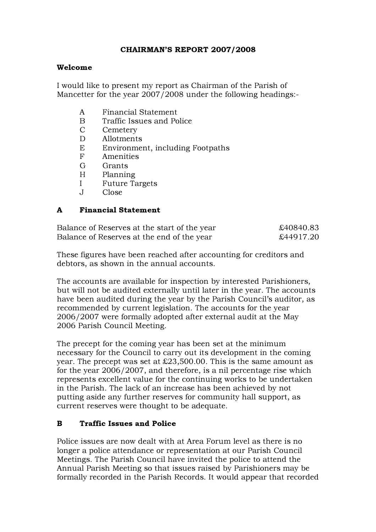## CHAIRMAN'S REPORT 2007/2008

#### Welcome

I would like to present my report as Chairman of the Parish of Mancetter for the year 2007/2008 under the following headings:-

- A Financial Statement
- B Traffic Issues and Police
- C Cemetery
- D Allotments
- E Environment, including Footpaths
- F Amenities
- G Grants
- H Planning
- I Future Targets
- J Close

#### A Financial Statement

| Balance of Reserves at the start of the year | £40840.83 |
|----------------------------------------------|-----------|
| Balance of Reserves at the end of the year   | £44917.20 |

These figures have been reached after accounting for creditors and debtors, as shown in the annual accounts.

The accounts are available for inspection by interested Parishioners, but will not be audited externally until later in the year. The accounts have been audited during the year by the Parish Council's auditor, as recommended by current legislation. The accounts for the year 2006/2007 were formally adopted after external audit at the May 2006 Parish Council Meeting.

The precept for the coming year has been set at the minimum necessary for the Council to carry out its development in the coming year. The precept was set at £23,500.00. This is the same amount as for the year 2006/2007, and therefore, is a nil percentage rise which represents excellent value for the continuing works to be undertaken in the Parish. The lack of an increase has been achieved by not putting aside any further reserves for community hall support, as current reserves were thought to be adequate.

#### B Traffic Issues and Police

Police issues are now dealt with at Area Forum level as there is no longer a police attendance or representation at our Parish Council Meetings. The Parish Council have invited the police to attend the Annual Parish Meeting so that issues raised by Parishioners may be formally recorded in the Parish Records. It would appear that recorded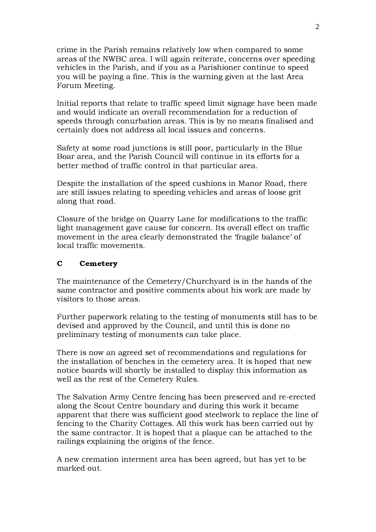crime in the Parish remains relatively low when compared to some areas of the NWBC area. I will again reiterate, concerns over speeding vehicles in the Parish, and if you as a Parishioner continue to speed you will be paying a fine. This is the warning given at the last Area Forum Meeting.

Initial reports that relate to traffic speed limit signage have been made and would indicate an overall recommendation for a reduction of speeds through conurbation areas. This is by no means finalised and certainly does not address all local issues and concerns.

Safety at some road junctions is still poor, particularly in the Blue Boar area, and the Parish Council will continue in its efforts for a better method of traffic control in that particular area.

Despite the installation of the speed cushions in Manor Road, there are still issues relating to speeding vehicles and areas of loose grit along that road.

Closure of the bridge on Quarry Lane for modifications to the traffic light management gave cause for concern. Its overall effect on traffic movement in the area clearly demonstrated the 'fragile balance' of local traffic movements.

#### C Cemetery

The maintenance of the Cemetery/Churchyard is in the hands of the same contractor and positive comments about his work are made by visitors to those areas.

Further paperwork relating to the testing of monuments still has to be devised and approved by the Council, and until this is done no preliminary testing of monuments can take place.

There is now an agreed set of recommendations and regulations for the installation of benches in the cemetery area. It is hoped that new notice boards will shortly be installed to display this information as well as the rest of the Cemetery Rules.

The Salvation Army Centre fencing has been preserved and re-erected along the Scout Centre boundary and during this work it became apparent that there was sufficient good steelwork to replace the line of fencing to the Charity Cottages. All this work has been carried out by the same contractor. It is hoped that a plaque can be attached to the railings explaining the origins of the fence.

A new cremation interment area has been agreed, but has yet to be marked out.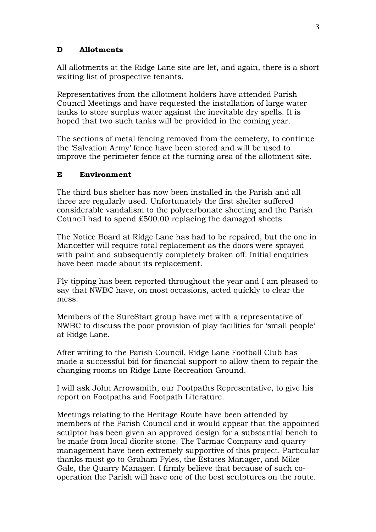## D Allotments

All allotments at the Ridge Lane site are let, and again, there is a short waiting list of prospective tenants.

Representatives from the allotment holders have attended Parish Council Meetings and have requested the installation of large water tanks to store surplus water against the inevitable dry spells. It is hoped that two such tanks will be provided in the coming year.

The sections of metal fencing removed from the cemetery, to continue the 'Salvation Army' fence have been stored and will be used to improve the perimeter fence at the turning area of the allotment site.

## E Environment

The third bus shelter has now been installed in the Parish and all three are regularly used. Unfortunately the first shelter suffered considerable vandalism to the polycarbonate sheeting and the Parish Council had to spend £500.00 replacing the damaged sheets.

The Notice Board at Ridge Lane has had to be repaired, but the one in Mancetter will require total replacement as the doors were sprayed with paint and subsequently completely broken off. Initial enquiries have been made about its replacement.

Fly tipping has been reported throughout the year and I am pleased to say that NWBC have, on most occasions, acted quickly to clear the mess.

Members of the SureStart group have met with a representative of NWBC to discuss the poor provision of play facilities for 'small people' at Ridge Lane.

After writing to the Parish Council, Ridge Lane Football Club has made a successful bid for financial support to allow them to repair the changing rooms on Ridge Lane Recreation Ground.

I will ask John Arrowsmith, our Footpaths Representative, to give his report on Footpaths and Footpath Literature.

Meetings relating to the Heritage Route have been attended by members of the Parish Council and it would appear that the appointed sculptor has been given an approved design for a substantial bench to be made from local diorite stone. The Tarmac Company and quarry management have been extremely supportive of this project. Particular thanks must go to Graham Fyles, the Estates Manager, and Mike Gale, the Quarry Manager. I firmly believe that because of such cooperation the Parish will have one of the best sculptures on the route.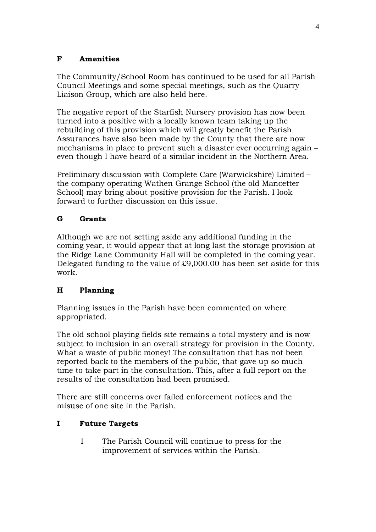## F Amenities

The Community/School Room has continued to be used for all Parish Council Meetings and some special meetings, such as the Quarry Liaison Group, which are also held here.

The negative report of the Starfish Nursery provision has now been turned into a positive with a locally known team taking up the rebuilding of this provision which will greatly benefit the Parish. Assurances have also been made by the County that there are now mechanisms in place to prevent such a disaster ever occurring again – even though I have heard of a similar incident in the Northern Area.

Preliminary discussion with Complete Care (Warwickshire) Limited – the company operating Wathen Grange School (the old Mancetter School) may bring about positive provision for the Parish. I look forward to further discussion on this issue.

# G Grants

Although we are not setting aside any additional funding in the coming year, it would appear that at long last the storage provision at the Ridge Lane Community Hall will be completed in the coming year. Delegated funding to the value of £9,000.00 has been set aside for this work.

# H Planning

Planning issues in the Parish have been commented on where appropriated.

The old school playing fields site remains a total mystery and is now subject to inclusion in an overall strategy for provision in the County. What a waste of public money! The consultation that has not been reported back to the members of the public, that gave up so much time to take part in the consultation. This, after a full report on the results of the consultation had been promised.

There are still concerns over failed enforcement notices and the misuse of one site in the Parish.

## I Future Targets

1 The Parish Council will continue to press for the improvement of services within the Parish.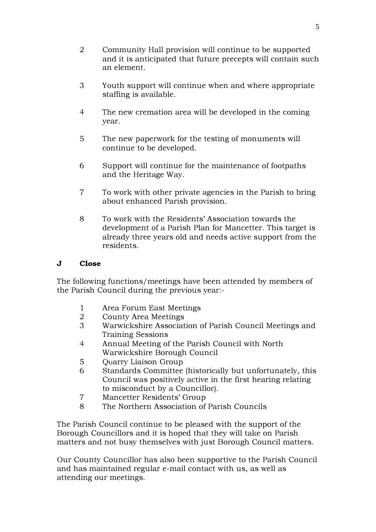- 2 Community Hall provision will continue to be supported and it is anticipated that future precepts will contain such an element.
- 3 Youth support will continue when and where appropriate staffing is available.
- 4 The new cremation area will be developed in the coming year.
- 5 The new paperwork for the testing of monuments will continue to be developed.
- 6 Support will continue for the maintenance of footpaths and the Heritage Way.
- 7 To work with other private agencies in the Parish to bring about enhanced Parish provision.
- 8 To work with the Residents' Association towards the development of a Parish Plan for Mancetter. This target is already three years old and needs active support from the residents.

## J Close

The following functions/meetings have been attended by members of the Parish Council during the previous year:-

- 1 Area Forum East Meetings
- 2 County Area Meetings
- 3 Warwickshire Association of Parish Council Meetings and Training Sessions
- 4 Annual Meeting of the Parish Council with North Warwickshire Borough Council
- 5 Ovarry Liaison Group
- 6 Standards Committee (historically but unfortunately, this Council was positively active in the first hearing relating to misconduct by a Councillor).
- 7 Mancetter Residents' Group
- 8 The Northern Association of Parish Councils

The Parish Council continue to be pleased with the support of the Borough Councillors and it is hoped that they will take on Parish matters and not busy themselves with just Borough Council matters.

Our County Councillor has also been supportive to the Parish Council and has maintained regular e-mail contact with us, as well as attending our meetings.